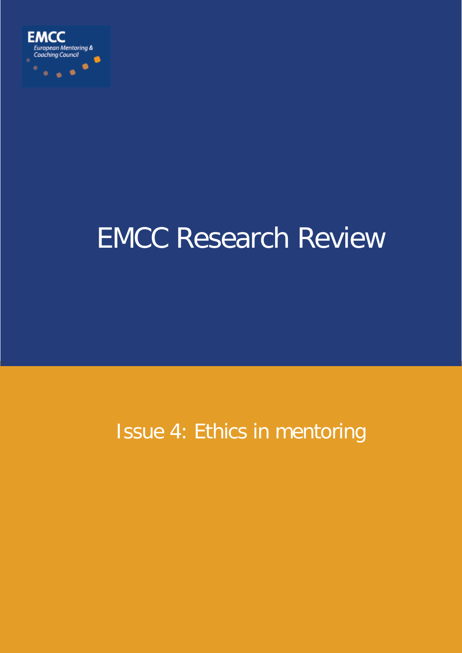

# EMCC Research Review

# Issue 4: Ethics in mentoring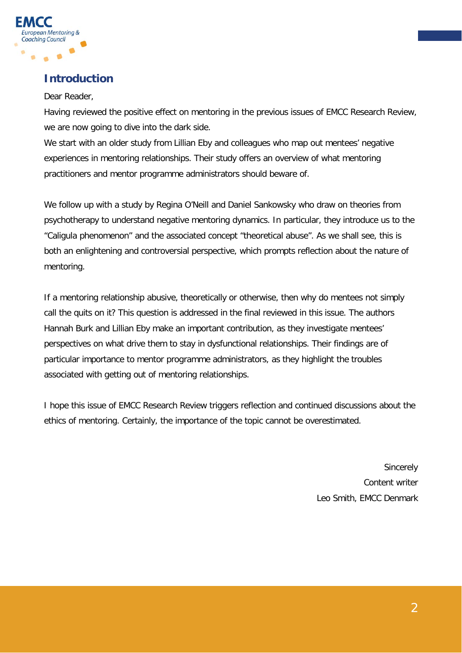

## **Introduction**

#### Dear Reader,

Having reviewed the positive effect on mentoring in the previous issues of EMCC Research Review, we are now going to dive into the dark side.

We start with an older study from Lillian Eby and colleagues who map out mentees' negative experiences in mentoring relationships. Their study offers an overview of what mentoring practitioners and mentor programme administrators should beware of.

We follow up with a study by Regina O'Neill and Daniel Sankowsky who draw on theories from psychotherapy to understand negative mentoring dynamics. In particular, they introduce us to the "Caligula phenomenon" and the associated concept "theoretical abuse". As we shall see, this is both an enlightening and controversial perspective, which prompts reflection about the nature of mentoring.

If a mentoring relationship abusive, theoretically or otherwise, then why do mentees not simply call the quits on it? This question is addressed in the final reviewed in this issue. The authors Hannah Burk and Lillian Eby make an important contribution, as they investigate mentees' perspectives on what drive them to stay in dysfunctional relationships. Their findings are of particular importance to mentor programme administrators, as they highlight the troubles associated with getting out of mentoring relationships.

I hope this issue of EMCC Research Review triggers reflection and continued discussions about the ethics of mentoring. Certainly, the importance of the topic cannot be overestimated.

> **Sincerely** Content writer Leo Smith, EMCC Denmark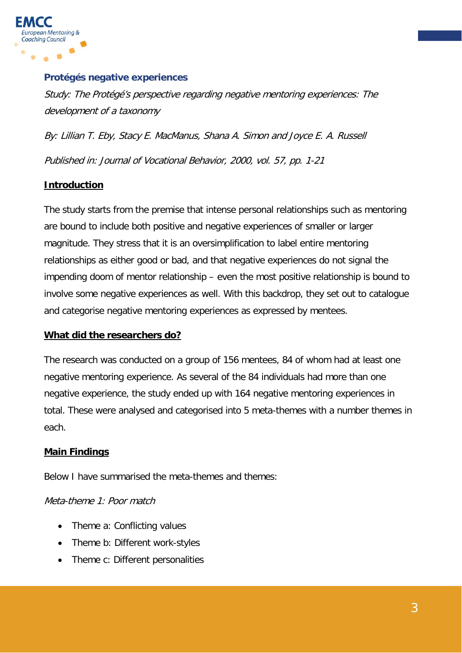

#### **Protégés negative experiences**

Study: The Protégé's perspective regarding negative mentoring experiences: The development of a taxonomy

By: Lillian T. Eby, Stacy E. MacManus, Shana A. Simon and Joyce E. A. Russell Published in: Journal of Vocational Behavior, 2000, vol. 57, pp. 1-21

#### **Introduction**

The study starts from the premise that intense personal relationships such as mentoring are bound to include both positive and negative experiences of smaller or larger magnitude. They stress that it is an oversimplification to label entire mentoring relationships as either good or bad, and that negative experiences do not signal the impending doom of mentor relationship – even the most positive relationship is bound to involve some negative experiences as well. With this backdrop, they set out to catalogue and categorise negative mentoring experiences as expressed by mentees.

#### **What did the researchers do?**

The research was conducted on a group of 156 mentees, 84 of whom had at least one negative mentoring experience. As several of the 84 individuals had more than one negative experience, the study ended up with 164 negative mentoring experiences in total. These were analysed and categorised into 5 meta-themes with a number themes in each.

#### **Main Findings**

Below I have summarised the meta-themes and themes:

#### Meta-theme 1: Poor match

- Theme a: Conflicting values
- Theme b: Different work-styles
- Theme c: Different personalities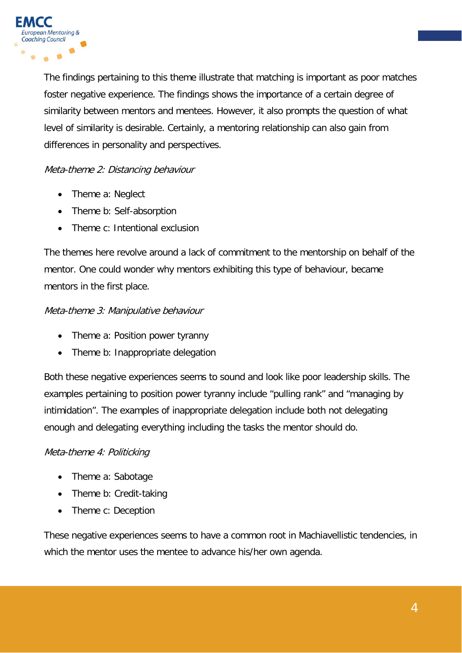

The findings pertaining to this theme illustrate that matching is important as poor matches foster negative experience. The findings shows the importance of a certain degree of similarity between mentors and mentees. However, it also prompts the question of what level of similarity is desirable. Certainly, a mentoring relationship can also gain from differences in personality and perspectives.

#### Meta-theme 2: Distancing behaviour

- Theme a: Neglect
- Theme b: Self-absorption
- Theme c: Intentional exclusion

The themes here revolve around a lack of commitment to the mentorship on behalf of the mentor. One could wonder why mentors exhibiting this type of behaviour, became mentors in the first place.

#### Meta-theme 3: Manipulative behaviour

- Theme a: Position power tyranny
- Theme b: Inappropriate delegation

Both these negative experiences seems to sound and look like poor leadership skills. The examples pertaining to position power tyranny include "pulling rank" and "managing by intimidation". The examples of inappropriate delegation include both not delegating enough and delegating everything including the tasks the mentor should do.

#### Meta-theme 4: Politicking

- Theme a: Sabotage
- Theme b: Credit-taking
- Theme c: Deception

These negative experiences seems to have a common root in Machiavellistic tendencies, in which the mentor uses the mentee to advance his/her own agenda.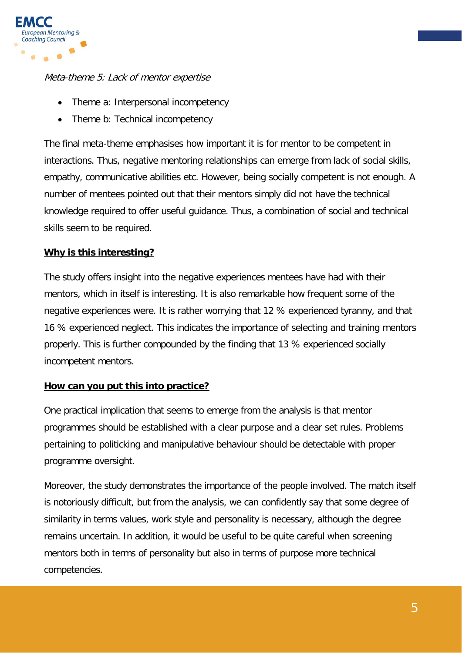

#### Meta-theme 5: Lack of mentor expertise

- Theme a: Interpersonal incompetency
- Theme b: Technical incompetency

The final meta-theme emphasises how important it is for mentor to be competent in interactions. Thus, negative mentoring relationships can emerge from lack of social skills, empathy, communicative abilities etc. However, being socially competent is not enough. A number of mentees pointed out that their mentors simply did not have the technical knowledge required to offer useful guidance. Thus, a combination of social and technical skills seem to be required.

#### **Why is this interesting?**

The study offers insight into the negative experiences mentees have had with their mentors, which in itself is interesting. It is also remarkable how frequent some of the negative experiences were. It is rather worrying that 12 % experienced tyranny, and that 16 % experienced neglect. This indicates the importance of selecting and training mentors properly. This is further compounded by the finding that 13 % experienced socially incompetent mentors.

#### **How can you put this into practice?**

One practical implication that seems to emerge from the analysis is that mentor programmes should be established with a clear purpose and a clear set rules. Problems pertaining to politicking and manipulative behaviour should be detectable with proper programme oversight.

Moreover, the study demonstrates the importance of the people involved. The match itself is notoriously difficult, but from the analysis, we can confidently say that some degree of similarity in terms values, work style and personality is necessary, although the degree remains uncertain. In addition, it would be useful to be quite careful when screening mentors both in terms of personality but also in terms of purpose more technical competencies.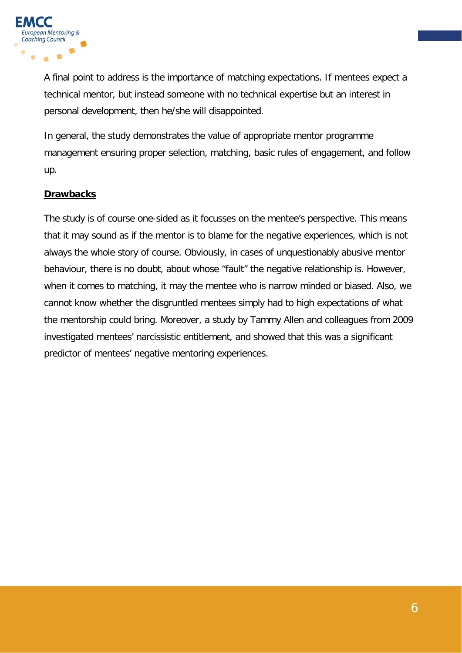

A final point to address is the importance of matching expectations. If mentees expect a technical mentor, but instead someone with no technical expertise but an interest in personal development, then he/she will disappointed.

In general, the study demonstrates the value of appropriate mentor programme management ensuring proper selection, matching, basic rules of engagement, and follow up.

#### **Drawbacks**

The study is of course one-sided as it focusses on the mentee's perspective. This means that it may sound as if the mentor is to blame for the negative experiences, which is not always the whole story of course. Obviously, in cases of unquestionably abusive mentor behaviour, there is no doubt, about whose "fault" the negative relationship is. However, when it comes to matching, it may the mentee who is narrow minded or biased. Also, we cannot know whether the disgruntled mentees simply had to high expectations of what the mentorship could bring. Moreover, a study by Tammy Allen and colleagues from 2009 investigated mentees' narcissistic entitlement, and showed that this was a significant predictor of mentees' negative mentoring experiences.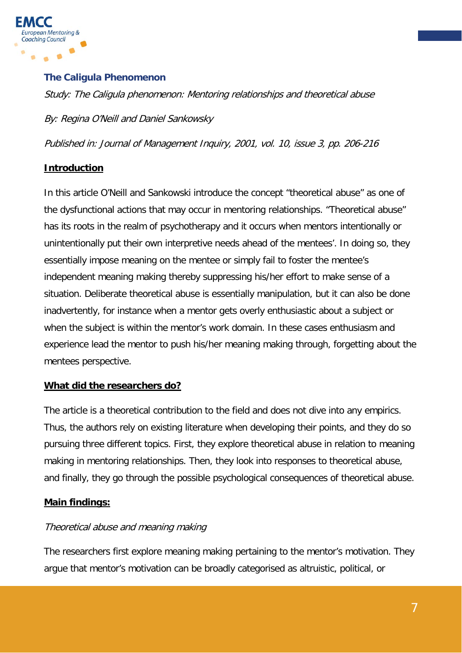

#### **The Caligula Phenomenon**

Study: The Caligula phenomenon: Mentoring relationships and theoretical abuse By: Regina O'Neill and Daniel Sankowsky

Published in: Journal of Management Inquiry, 2001, vol. 10, issue 3, pp. 206-216

#### **Introduction**

In this article O'Neill and Sankowski introduce the concept "theoretical abuse" as one of the dysfunctional actions that may occur in mentoring relationships. "Theoretical abuse" has its roots in the realm of psychotherapy and it occurs when mentors intentionally or unintentionally put their own interpretive needs ahead of the mentees'. In doing so, they essentially impose meaning on the mentee or simply fail to foster the mentee's independent meaning making thereby suppressing his/her effort to make sense of a situation. Deliberate theoretical abuse is essentially manipulation, but it can also be done inadvertently, for instance when a mentor gets overly enthusiastic about a subject or when the subject is within the mentor's work domain. In these cases enthusiasm and experience lead the mentor to push his/her meaning making through, forgetting about the mentees perspective.

#### **What did the researchers do?**

The article is a theoretical contribution to the field and does not dive into any empirics. Thus, the authors rely on existing literature when developing their points, and they do so pursuing three different topics. First, they explore theoretical abuse in relation to meaning making in mentoring relationships. Then, they look into responses to theoretical abuse, and finally, they go through the possible psychological consequences of theoretical abuse.

#### **Main findings:**

#### Theoretical abuse and meaning making

The researchers first explore meaning making pertaining to the mentor's motivation. They argue that mentor's motivation can be broadly categorised as altruistic, political, or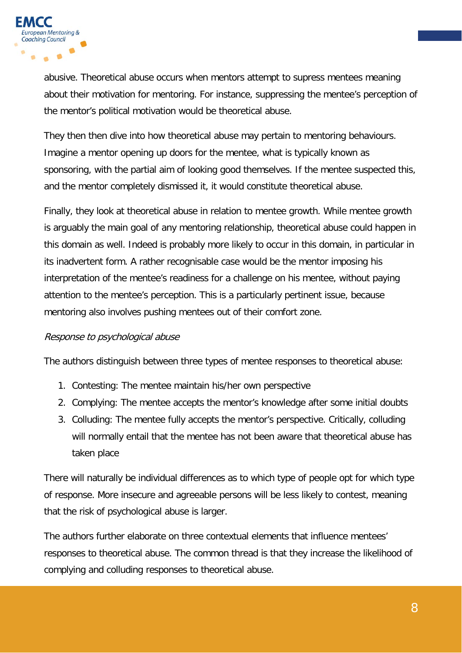

abusive. Theoretical abuse occurs when mentors attempt to supress mentees meaning about their motivation for mentoring. For instance, suppressing the mentee's perception of the mentor's political motivation would be theoretical abuse.

They then then dive into how theoretical abuse may pertain to mentoring behaviours. Imagine a mentor opening up doors for the mentee, what is typically known as sponsoring, with the partial aim of looking good themselves. If the mentee suspected this, and the mentor completely dismissed it, it would constitute theoretical abuse.

Finally, they look at theoretical abuse in relation to mentee growth. While mentee growth is arguably the main goal of any mentoring relationship, theoretical abuse could happen in this domain as well. Indeed is probably more likely to occur in this domain, in particular in its inadvertent form. A rather recognisable case would be the mentor imposing his interpretation of the mentee's readiness for a challenge on his mentee, without paying attention to the mentee's perception. This is a particularly pertinent issue, because mentoring also involves pushing mentees out of their comfort zone.

#### Response to psychological abuse

The authors distinguish between three types of mentee responses to theoretical abuse:

- 1. Contesting: The mentee maintain his/her own perspective
- 2. Complying: The mentee accepts the mentor's knowledge after some initial doubts
- 3. Colluding: The mentee fully accepts the mentor's perspective. Critically, colluding will normally entail that the mentee has not been aware that theoretical abuse has taken place

There will naturally be individual differences as to which type of people opt for which type of response. More insecure and agreeable persons will be less likely to contest, meaning that the risk of psychological abuse is larger.

The authors further elaborate on three contextual elements that influence mentees' responses to theoretical abuse. The common thread is that they increase the likelihood of complying and colluding responses to theoretical abuse.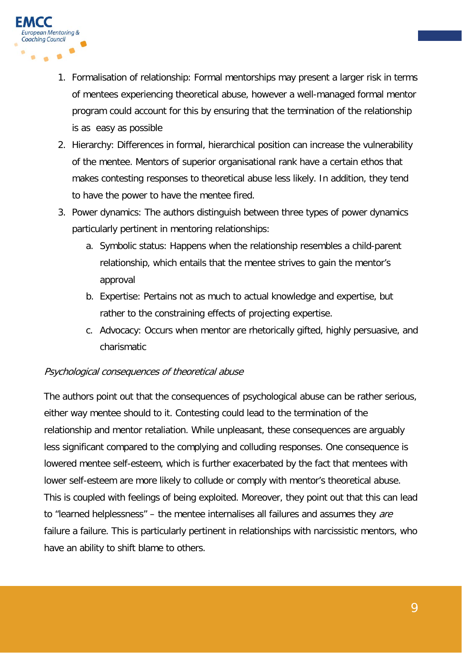

- 1. Formalisation of relationship: Formal mentorships may present a larger risk in terms of mentees experiencing theoretical abuse, however a well-managed formal mentor program could account for this by ensuring that the termination of the relationship is as easy as possible
- 2. Hierarchy: Differences in formal, hierarchical position can increase the vulnerability of the mentee. Mentors of superior organisational rank have a certain ethos that makes contesting responses to theoretical abuse less likely. In addition, they tend to have the power to have the mentee fired.
- 3. Power dynamics: The authors distinguish between three types of power dynamics particularly pertinent in mentoring relationships:
	- a. Symbolic status: Happens when the relationship resembles a child-parent relationship, which entails that the mentee strives to gain the mentor's approval
	- b. Expertise: Pertains not as much to actual knowledge and expertise, but rather to the constraining effects of projecting expertise.
	- c. Advocacy: Occurs when mentor are rhetorically gifted, highly persuasive, and charismatic

#### Psychological consequences of theoretical abuse

The authors point out that the consequences of psychological abuse can be rather serious, either way mentee should to it. Contesting could lead to the termination of the relationship and mentor retaliation. While unpleasant, these consequences are arguably less significant compared to the complying and colluding responses. One consequence is lowered mentee self-esteem, which is further exacerbated by the fact that mentees with lower self-esteem are more likely to collude or comply with mentor's theoretical abuse. This is coupled with feelings of being exploited. Moreover, they point out that this can lead to "learned helplessness" – the mentee internalises all failures and assumes they are failure a failure. This is particularly pertinent in relationships with narcissistic mentors, who have an ability to shift blame to others.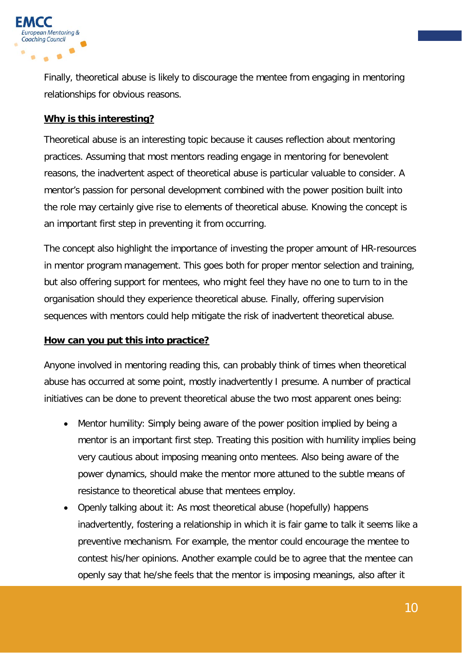

Finally, theoretical abuse is likely to discourage the mentee from engaging in mentoring relationships for obvious reasons.

#### **Why is this interesting?**

Theoretical abuse is an interesting topic because it causes reflection about mentoring practices. Assuming that most mentors reading engage in mentoring for benevolent reasons, the inadvertent aspect of theoretical abuse is particular valuable to consider. A mentor's passion for personal development combined with the power position built into the role may certainly give rise to elements of theoretical abuse. Knowing the concept is an important first step in preventing it from occurring.

The concept also highlight the importance of investing the proper amount of HR-resources in mentor program management. This goes both for proper mentor selection and training, but also offering support for mentees, who might feel they have no one to turn to in the organisation should they experience theoretical abuse. Finally, offering supervision sequences with mentors could help mitigate the risk of inadvertent theoretical abuse.

#### **How can you put this into practice?**

Anyone involved in mentoring reading this, can probably think of times when theoretical abuse has occurred at some point, mostly inadvertently I presume. A number of practical initiatives can be done to prevent theoretical abuse the two most apparent ones being:

- Mentor humility: Simply being aware of the power position implied by being a mentor is an important first step. Treating this position with humility implies being very cautious about imposing meaning onto mentees. Also being aware of the power dynamics, should make the mentor more attuned to the subtle means of resistance to theoretical abuse that mentees employ.
- Openly talking about it: As most theoretical abuse (hopefully) happens inadvertently, fostering a relationship in which it is fair game to talk it seems like a preventive mechanism. For example, the mentor could encourage the mentee to contest his/her opinions. Another example could be to agree that the mentee can openly say that he/she feels that the mentor is imposing meanings, also after it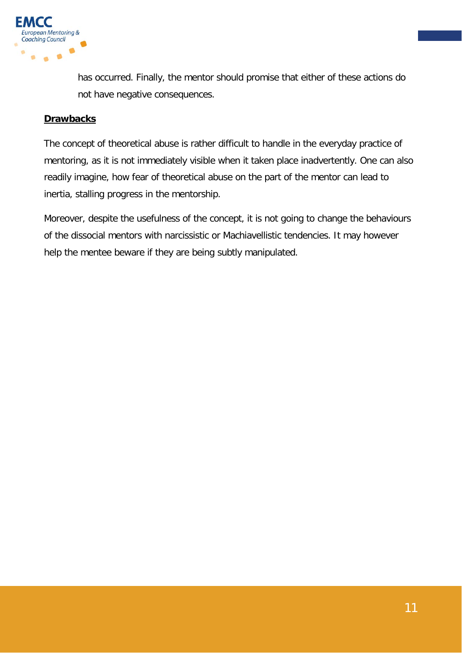

has occurred. Finally, the mentor should promise that either of these actions do not have negative consequences.

#### **Drawbacks**

The concept of theoretical abuse is rather difficult to handle in the everyday practice of mentoring, as it is not immediately visible when it taken place inadvertently. One can also readily imagine, how fear of theoretical abuse on the part of the mentor can lead to inertia, stalling progress in the mentorship.

Moreover, despite the usefulness of the concept, it is not going to change the behaviours of the dissocial mentors with narcissistic or Machiavellistic tendencies. It may however help the mentee beware if they are being subtly manipulated.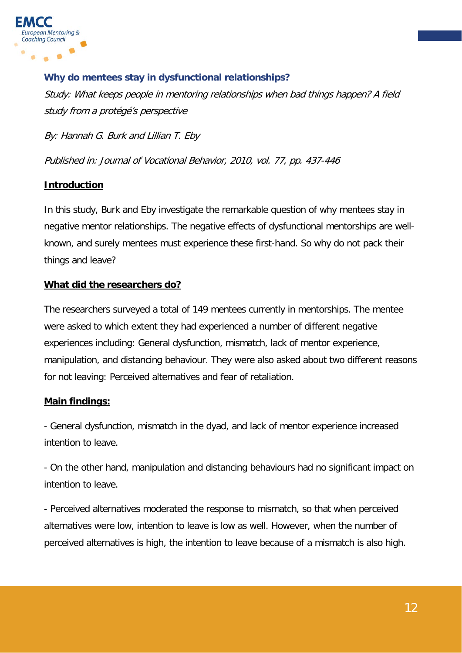

#### **Why do mentees stay in dysfunctional relationships?**

Study: What keeps people in mentoring relationships when bad things happen? A field study from a protégé's perspective

By: Hannah G. Burk and Lillian T. Eby

Published in: Journal of Vocational Behavior, 2010, vol. 77, pp. 437-446

#### **Introduction**

In this study, Burk and Eby investigate the remarkable question of why mentees stay in negative mentor relationships. The negative effects of dysfunctional mentorships are wellknown, and surely mentees must experience these first-hand. So why do not pack their things and leave?

#### **What did the researchers do?**

The researchers surveyed a total of 149 mentees currently in mentorships. The mentee were asked to which extent they had experienced a number of different negative experiences including: General dysfunction, mismatch, lack of mentor experience, manipulation, and distancing behaviour. They were also asked about two different reasons for not leaving: Perceived alternatives and fear of retaliation.

#### **Main findings:**

- General dysfunction, mismatch in the dyad, and lack of mentor experience increased intention to leave.

- On the other hand, manipulation and distancing behaviours had no significant impact on intention to leave.

- Perceived alternatives moderated the response to mismatch, so that when perceived alternatives were low, intention to leave is low as well. However, when the number of perceived alternatives is high, the intention to leave because of a mismatch is also high.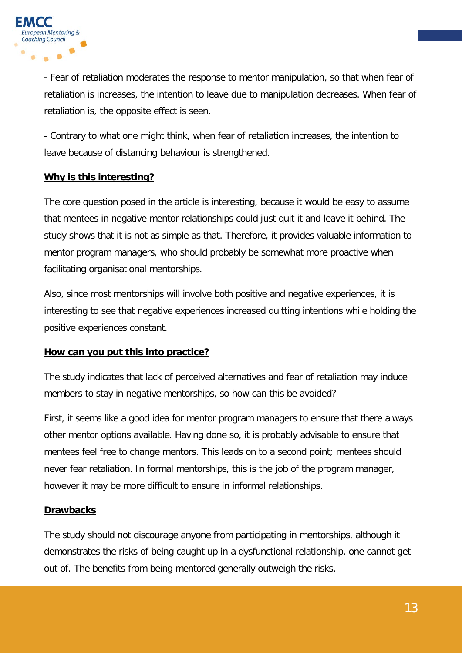

- Fear of retaliation moderates the response to mentor manipulation, so that when fear of retaliation is increases, the intention to leave due to manipulation decreases. When fear of retaliation is, the opposite effect is seen.

- Contrary to what one might think, when fear of retaliation increases, the intention to leave because of distancing behaviour is strengthened.

#### **Why is this interesting?**

The core question posed in the article is interesting, because it would be easy to assume that mentees in negative mentor relationships could just quit it and leave it behind. The study shows that it is not as simple as that. Therefore, it provides valuable information to mentor program managers, who should probably be somewhat more proactive when facilitating organisational mentorships.

Also, since most mentorships will involve both positive and negative experiences, it is interesting to see that negative experiences increased quitting intentions while holding the positive experiences constant.

#### **How can you put this into practice?**

The study indicates that lack of perceived alternatives and fear of retaliation may induce members to stay in negative mentorships, so how can this be avoided?

First, it seems like a good idea for mentor program managers to ensure that there always other mentor options available. Having done so, it is probably advisable to ensure that mentees feel free to change mentors. This leads on to a second point; mentees should never fear retaliation. In formal mentorships, this is the job of the program manager, however it may be more difficult to ensure in informal relationships.

#### **Drawbacks**

The study should not discourage anyone from participating in mentorships, although it demonstrates the risks of being caught up in a dysfunctional relationship, one cannot get out of. The benefits from being mentored generally outweigh the risks.